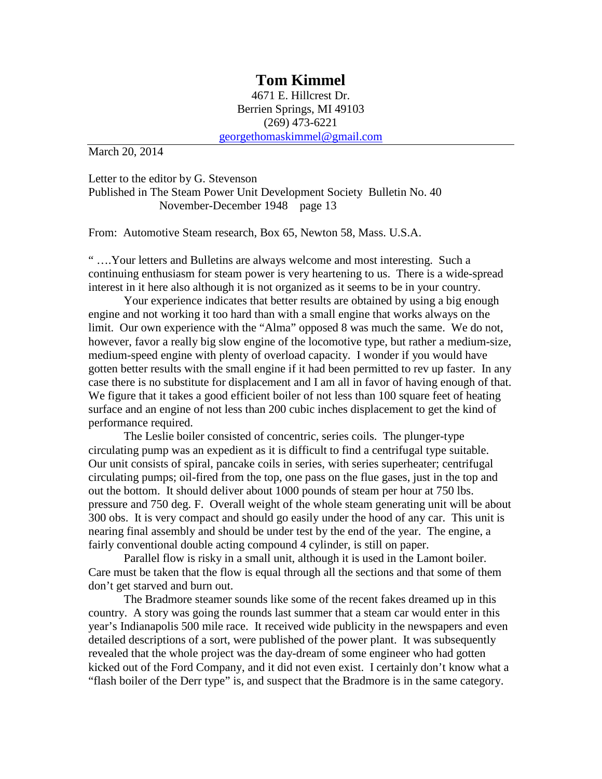## **Tom Kimmel**

4671 E. Hillcrest Dr. Berrien Springs, MI 49103 (269) 473-6221 [georgethomaskimmel@gmail.com](mailto:georgethomaskimmel@gmail.com)

March 20, 2014

Letter to the editor by G. Stevenson Published in The Steam Power Unit Development Society Bulletin No. 40 November-December 1948 page 13

From: Automotive Steam research, Box 65, Newton 58, Mass. U.S.A.

" ….Your letters and Bulletins are always welcome and most interesting. Such a continuing enthusiasm for steam power is very heartening to us. There is a wide-spread interest in it here also although it is not organized as it seems to be in your country.

Your experience indicates that better results are obtained by using a big enough engine and not working it too hard than with a small engine that works always on the limit. Our own experience with the "Alma" opposed 8 was much the same. We do not, however, favor a really big slow engine of the locomotive type, but rather a medium-size, medium-speed engine with plenty of overload capacity. I wonder if you would have gotten better results with the small engine if it had been permitted to rev up faster. In any case there is no substitute for displacement and I am all in favor of having enough of that. We figure that it takes a good efficient boiler of not less than 100 square feet of heating surface and an engine of not less than 200 cubic inches displacement to get the kind of performance required.

The Leslie boiler consisted of concentric, series coils. The plunger-type circulating pump was an expedient as it is difficult to find a centrifugal type suitable. Our unit consists of spiral, pancake coils in series, with series superheater; centrifugal circulating pumps; oil-fired from the top, one pass on the flue gases, just in the top and out the bottom. It should deliver about 1000 pounds of steam per hour at 750 lbs. pressure and 750 deg. F. Overall weight of the whole steam generating unit will be about 300 obs. It is very compact and should go easily under the hood of any car. This unit is nearing final assembly and should be under test by the end of the year. The engine, a fairly conventional double acting compound 4 cylinder, is still on paper.

Parallel flow is risky in a small unit, although it is used in the Lamont boiler. Care must be taken that the flow is equal through all the sections and that some of them don't get starved and burn out.

The Bradmore steamer sounds like some of the recent fakes dreamed up in this country. A story was going the rounds last summer that a steam car would enter in this year's Indianapolis 500 mile race. It received wide publicity in the newspapers and even detailed descriptions of a sort, were published of the power plant. It was subsequently revealed that the whole project was the day-dream of some engineer who had gotten kicked out of the Ford Company, and it did not even exist. I certainly don't know what a "flash boiler of the Derr type" is, and suspect that the Bradmore is in the same category.